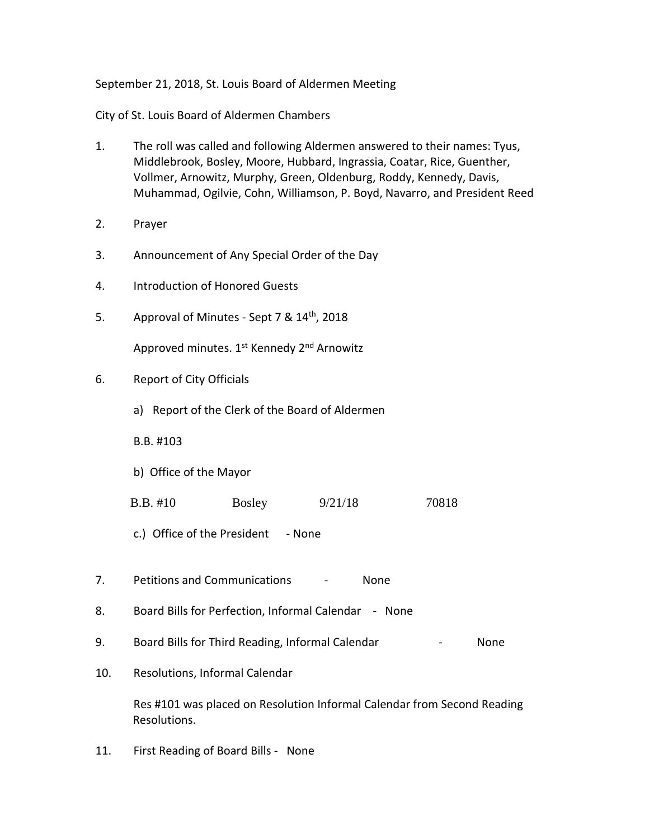September 21, 2018, St. Louis Board of Aldermen Meeting

City of St. Louis Board of Aldermen Chambers

- 1. The roll was called and following Aldermen answered to their names: Tyus, Middlebrook, Bosley, Moore, Hubbard, Ingrassia, Coatar, Rice, Guenther, Vollmer, Arnowitz, Murphy, Green, Oldenburg, Roddy, Kennedy, Davis, Muhammad, Ogilvie, Cohn, Williamson, P. Boyd, Navarro, and President Reed
- 2. Prayer
- 3. Announcement of Any Special Order of the Day
- 4. Introduction of Honored Guests
- 5. Approval of Minutes Sept 7 & 14<sup>th</sup>, 2018

Approved minutes. 1<sup>st</sup> Kennedy 2<sup>nd</sup> Arnowitz

- 6. Report of City Officials
	- a) Report of the Clerk of the Board of Aldermen

B.B. #103

- b) Office of the Mayor
- B.B. #10 Bosley 9/21/18 70818
- c.) Office of the President None
- 7. Petitions and Communications None
- 8. Board Bills for Perfection, Informal Calendar None
- 9. Board Bills for Third Reading, Informal Calendar **-** None
- 10. Resolutions, Informal Calendar

Res #101 was placed on Resolution Informal Calendar from Second Reading Resolutions.

11. First Reading of Board Bills - None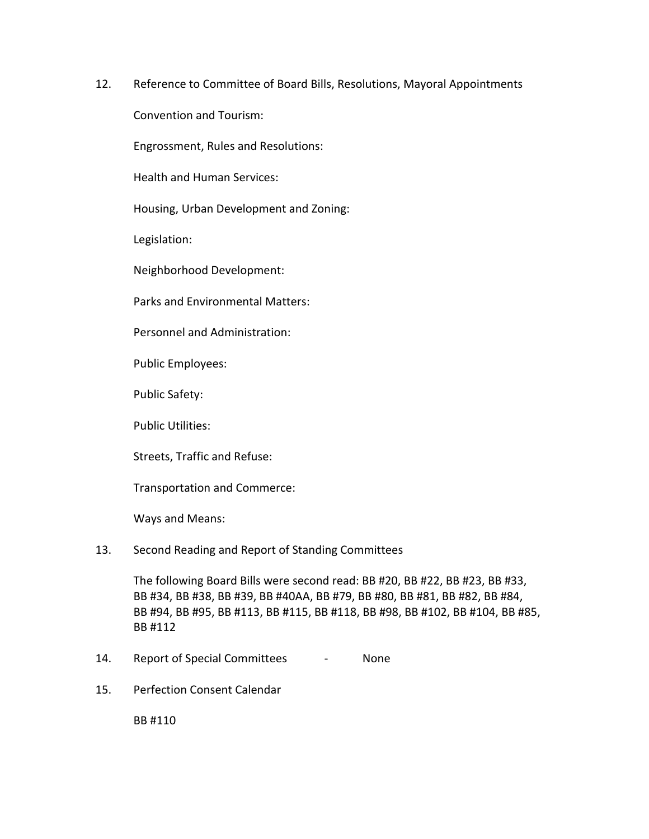12. Reference to Committee of Board Bills, Resolutions, Mayoral Appointments

Convention and Tourism:

Engrossment, Rules and Resolutions:

Health and Human Services:

Housing, Urban Development and Zoning:

Legislation:

Neighborhood Development:

Parks and Environmental Matters:

Personnel and Administration:

Public Employees:

Public Safety:

Public Utilities:

Streets, Traffic and Refuse:

Transportation and Commerce:

Ways and Means:

## 13. Second Reading and Report of Standing Committees

The following Board Bills were second read: BB #20, BB #22, BB #23, BB #33, BB #34, BB #38, BB #39, BB #40AA, BB #79, BB #80, BB #81, BB #82, BB #84, BB #94, BB #95, BB #113, BB #115, BB #118, BB #98, BB #102, BB #104, BB #85, BB #112

- 14. Report of Special Committees None
- 15. Perfection Consent Calendar

BB #110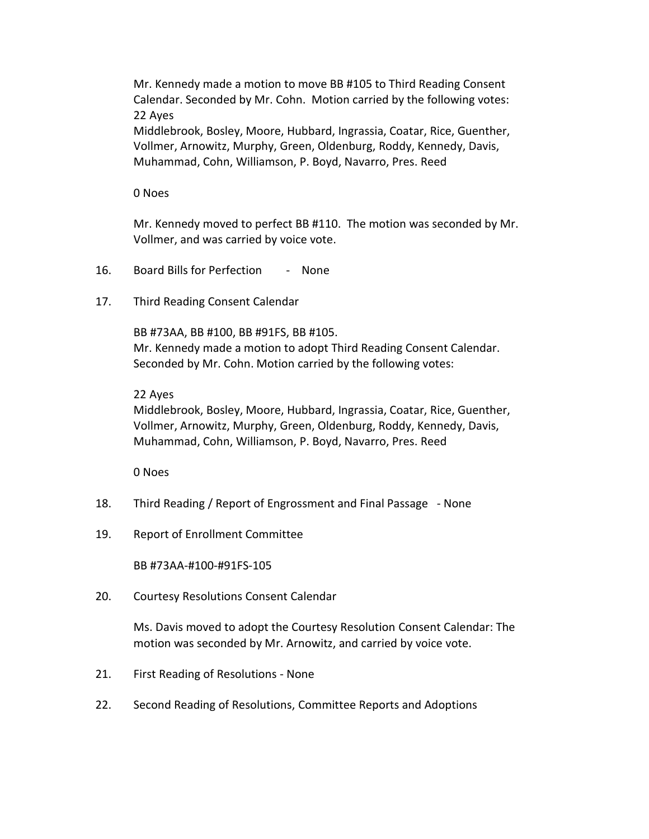Mr. Kennedy made a motion to move BB #105 to Third Reading Consent Calendar. Seconded by Mr. Cohn. Motion carried by the following votes: 22 Ayes

Middlebrook, Bosley, Moore, Hubbard, Ingrassia, Coatar, Rice, Guenther, Vollmer, Arnowitz, Murphy, Green, Oldenburg, Roddy, Kennedy, Davis, Muhammad, Cohn, Williamson, P. Boyd, Navarro, Pres. Reed

0 Noes

Mr. Kennedy moved to perfect BB #110. The motion was seconded by Mr. Vollmer, and was carried by voice vote.

- 16. Board Bills for Perfection None
- 17. Third Reading Consent Calendar

BB #73AA, BB #100, BB #91FS, BB #105. Mr. Kennedy made a motion to adopt Third Reading Consent Calendar. Seconded by Mr. Cohn. Motion carried by the following votes:

## 22 Ayes

Middlebrook, Bosley, Moore, Hubbard, Ingrassia, Coatar, Rice, Guenther, Vollmer, Arnowitz, Murphy, Green, Oldenburg, Roddy, Kennedy, Davis, Muhammad, Cohn, Williamson, P. Boyd, Navarro, Pres. Reed

0 Noes

- 18. Third Reading / Report of Engrossment and Final Passage None
- 19. Report of Enrollment Committee

BB #73AA-#100-#91FS-105

20. Courtesy Resolutions Consent Calendar

Ms. Davis moved to adopt the Courtesy Resolution Consent Calendar: The motion was seconded by Mr. Arnowitz, and carried by voice vote.

- 21. First Reading of Resolutions None
- 22. Second Reading of Resolutions, Committee Reports and Adoptions